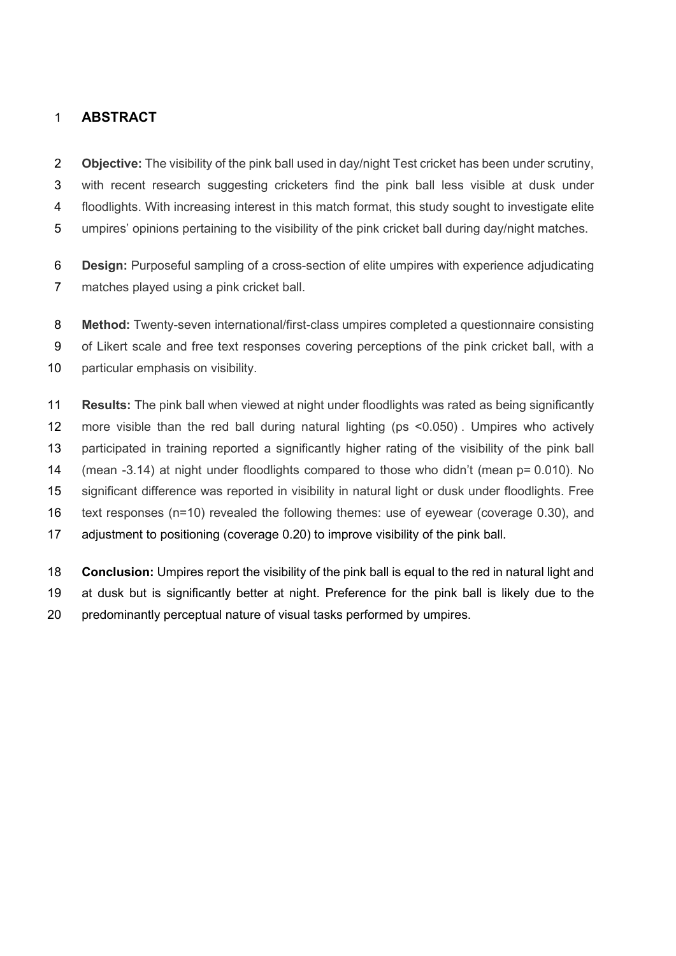# **ABSTRACT**

 **Objective:** The visibility of the pink ball used in day/night Test cricket has been under scrutiny, with recent research suggesting cricketers find the pink ball less visible at dusk under floodlights. With increasing interest in this match format, this study sought to investigate elite umpires' opinions pertaining to the visibility of the pink cricket ball during day/night matches.

 **Design:** Purposeful sampling of a cross-section of elite umpires with experience adjudicating matches played using a pink cricket ball.

 **Method:** Twenty-seven international/first-class umpires completed a questionnaire consisting of Likert scale and free text responses covering perceptions of the pink cricket ball, with a 10 particular emphasis on visibility.

 **Results:** The pink ball when viewed at night under floodlights was rated as being significantly more visible than the red ball during natural lighting (ps <0.050) . Umpires who actively participated in training reported a significantly higher rating of the visibility of the pink ball (mean -3.14) at night under floodlights compared to those who didn't (mean p= 0.010). No significant difference was reported in visibility in natural light or dusk under floodlights. Free text responses (n=10) revealed the following themes: use of eyewear (coverage 0.30), and adjustment to positioning (coverage 0.20) to improve visibility of the pink ball.

 **Conclusion:** Umpires report the visibility of the pink ball is equal to the red in natural light and at dusk but is significantly better at night. Preference for the pink ball is likely due to the predominantly perceptual nature of visual tasks performed by umpires.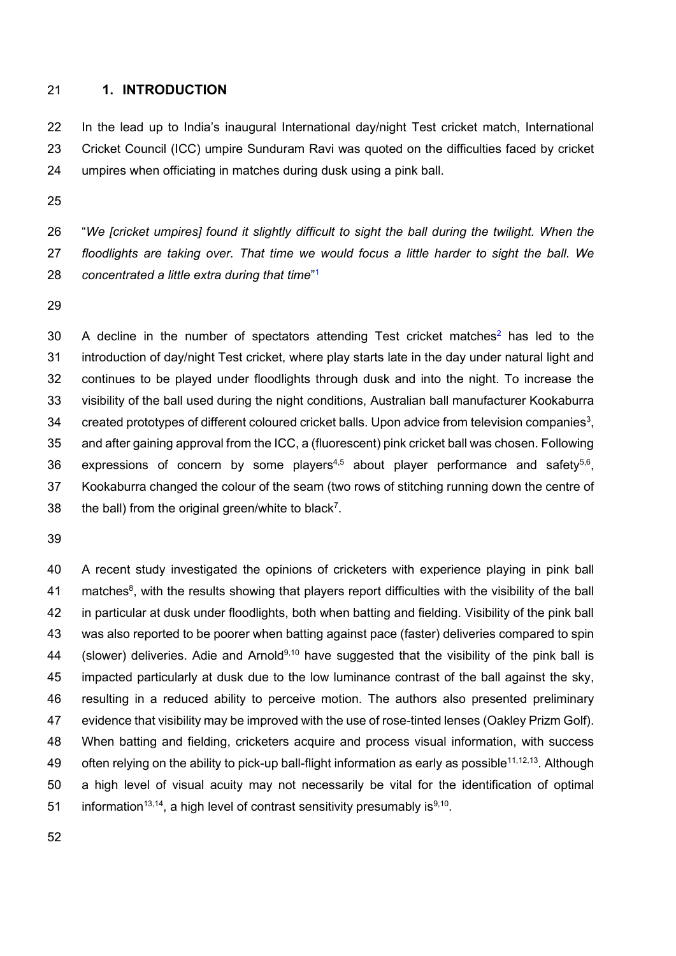#### **1. INTRODUCTION**

 In the lead up to India's inaugural International day/night Test cricket match, International Cricket Council (ICC) umpire Sunduram Ravi was quoted on the difficulties faced by cricket umpires when officiating in matches during dusk using a pink ball.

 "*We [cricket umpires] found it slightly difficult to sight the ball during the twilight. When the floodlights are taking over. That time we would focus a little harder to sight the ball. We concentrated a little extra during that time*" <sup>1</sup>

 A decline in the number of spectators attending Test cricket matches<sup>2</sup> has led to the introduction of day/night Test cricket, where play starts late in the day under natural light and continues to be played under floodlights through dusk and into the night. To increase the visibility of the ball used during the night conditions, Australian ball manufacturer Kookaburra  $\degree$  created prototypes of different coloured cricket balls. Upon advice from television companies<sup>3</sup>, and after gaining approval from the ICC, a (fluorescent) pink cricket ball was chosen. Following 36 expressions of concern by some players<sup>4,5</sup> about player performance and safety<sup>5,6</sup>, Kookaburra changed the colour of the seam (two rows of stitching running down the centre of 38 the ball) from the original green/white to black<sup>7</sup>.

 A recent study investigated the opinions of cricketers with experience playing in pink ball 41 matches<sup>8</sup>, with the results showing that players report difficulties with the visibility of the ball in particular at dusk under floodlights, both when batting and fielding. Visibility of the pink ball was also reported to be poorer when batting against pace (faster) deliveries compared to spin 44 (slower) deliveries. Adie and Arnold<sup>9,10</sup> have suggested that the visibility of the pink ball is impacted particularly at dusk due to the low luminance contrast of the ball against the sky, resulting in a reduced ability to perceive motion. The authors also presented preliminary evidence that visibility may be improved with the use of rose-tinted lenses (Oakley Prizm Golf). When batting and fielding, cricketers acquire and process visual information, with success 49 often relying on the ability to pick-up ball-flight information as early as possible<sup>11,12,13</sup>. Although a high level of visual acuity may not necessarily be vital for the identification of optimal 51 information<sup>13,14</sup>, a high level of contrast sensitivity presumably is<sup>9,10</sup>.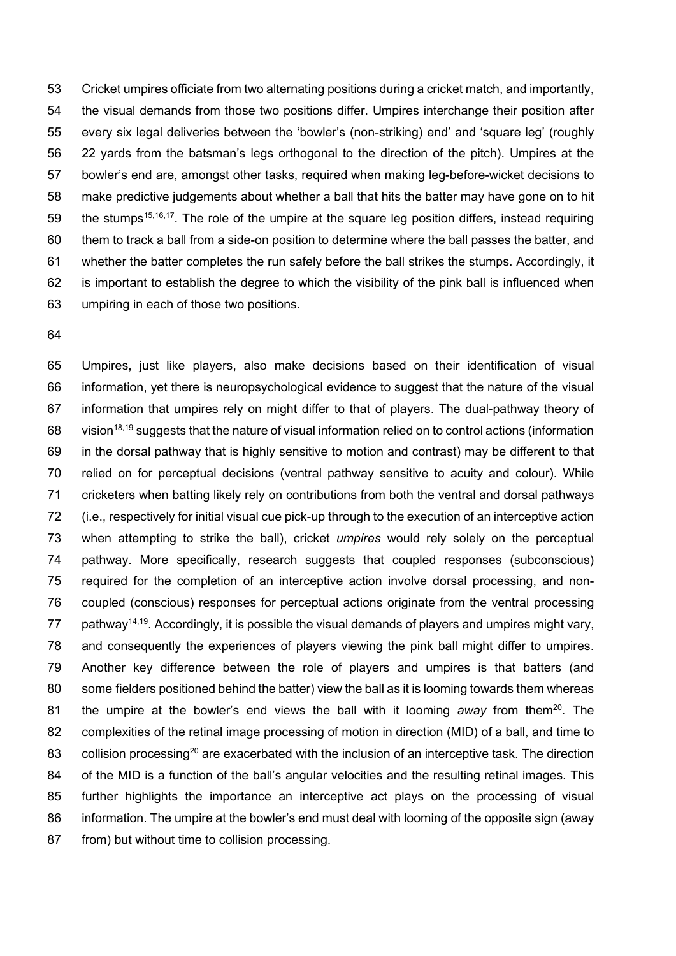Cricket umpires officiate from two alternating positions during a cricket match, and importantly, the visual demands from those two positions differ. Umpires interchange their position after every six legal deliveries between the 'bowler's (non-striking) end' and 'square leg' (roughly 22 yards from the batsman's legs orthogonal to the direction of the pitch). Umpires at the bowler's end are, amongst other tasks, required when making leg-before-wicket decisions to make predictive judgements about whether a ball that hits the batter may have gone on to hit 59 the stumps<sup>15,16,17</sup>. The role of the umpire at the square leg position differs, instead requiring them to track a ball from a side-on position to determine where the ball passes the batter, and whether the batter completes the run safely before the ball strikes the stumps. Accordingly, it is important to establish the degree to which the visibility of the pink ball is influenced when umpiring in each of those two positions.

 Umpires, just like players, also make decisions based on their identification of visual information, yet there is neuropsychological evidence to suggest that the nature of the visual information that umpires rely on might differ to that of players. The dual-pathway theory of 68 vision<sup>18,19</sup> suggests that the nature of visual information relied on to control actions (information in the dorsal pathway that is highly sensitive to motion and contrast) may be different to that relied on for perceptual decisions (ventral pathway sensitive to acuity and colour). While cricketers when batting likely rely on contributions from both the ventral and dorsal pathways (i.e., respectively for initial visual cue pick-up through to the execution of an interceptive action when attempting to strike the ball), cricket *umpires* would rely solely on the perceptual pathway. More specifically, research suggests that coupled responses (subconscious) required for the completion of an interceptive action involve dorsal processing, and non- coupled (conscious) responses for perceptual actions originate from the ventral processing 77 pathway<sup>14,19</sup>. Accordingly, it is possible the visual demands of players and umpires might vary, and consequently the experiences of players viewing the pink ball might differ to umpires. Another key difference between the role of players and umpires is that batters (and some fielders positioned behind the batter) view the ball as it is looming towards them whereas 81 the umpire at the bowler's end views the ball with it looming *away* from them<sup>20</sup>. The complexities of the retinal image processing of motion in direction (MID) of a ball, and time to 83 collision processing<sup>20</sup> are exacerbated with the inclusion of an interceptive task. The direction 84 of the MID is a function of the ball's angular velocities and the resulting retinal images. This further highlights the importance an interceptive act plays on the processing of visual information. The umpire at the bowler's end must deal with looming of the opposite sign (away 87 from) but without time to collision processing.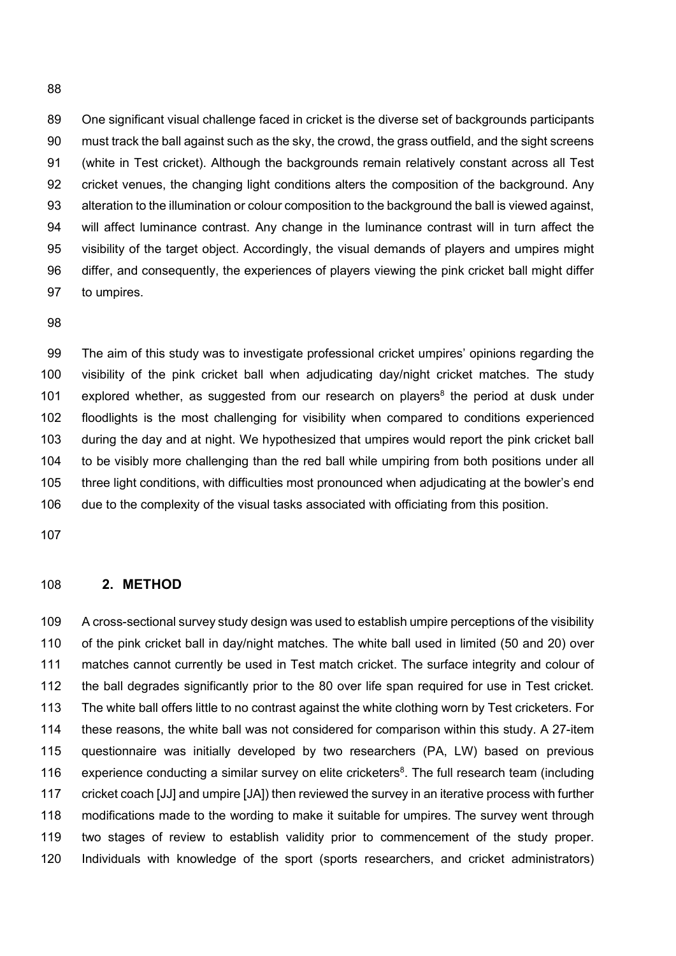One significant visual challenge faced in cricket is the diverse set of backgrounds participants must track the ball against such as the sky, the crowd, the grass outfield, and the sight screens (white in Test cricket). Although the backgrounds remain relatively constant across all Test 92 cricket venues, the changing light conditions alters the composition of the background. Any alteration to the illumination or colour composition to the background the ball is viewed against, will affect luminance contrast. Any change in the luminance contrast will in turn affect the visibility of the target object. Accordingly, the visual demands of players and umpires might differ, and consequently, the experiences of players viewing the pink cricket ball might differ to umpires.

 The aim of this study was to investigate professional cricket umpires' opinions regarding the visibility of the pink cricket ball when adjudicating day/night cricket matches. The study 101 explored whether, as suggested from our research on players<sup>8</sup> the period at dusk under floodlights is the most challenging for visibility when compared to conditions experienced during the day and at night. We hypothesized that umpires would report the pink cricket ball to be visibly more challenging than the red ball while umpiring from both positions under all three light conditions, with difficulties most pronounced when adjudicating at the bowler's end due to the complexity of the visual tasks associated with officiating from this position.

#### **2. METHOD**

 A cross-sectional survey study design was used to establish umpire perceptions of the visibility of the pink cricket ball in day/night matches. The white ball used in limited (50 and 20) over matches cannot currently be used in Test match cricket. The surface integrity and colour of the ball degrades significantly prior to the 80 over life span required for use in Test cricket. The white ball offers little to no contrast against the white clothing worn by Test cricketers. For these reasons, the white ball was not considered for comparison within this study. A 27-item questionnaire was initially developed by two researchers (PA, LW) based on previous 116 experience conducting a similar survey on elite cricketers<sup>8</sup>. The full research team (including cricket coach [JJ] and umpire [JA]) then reviewed the survey in an iterative process with further modifications made to the wording to make it suitable for umpires. The survey went through two stages of review to establish validity prior to commencement of the study proper. Individuals with knowledge of the sport (sports researchers, and cricket administrators)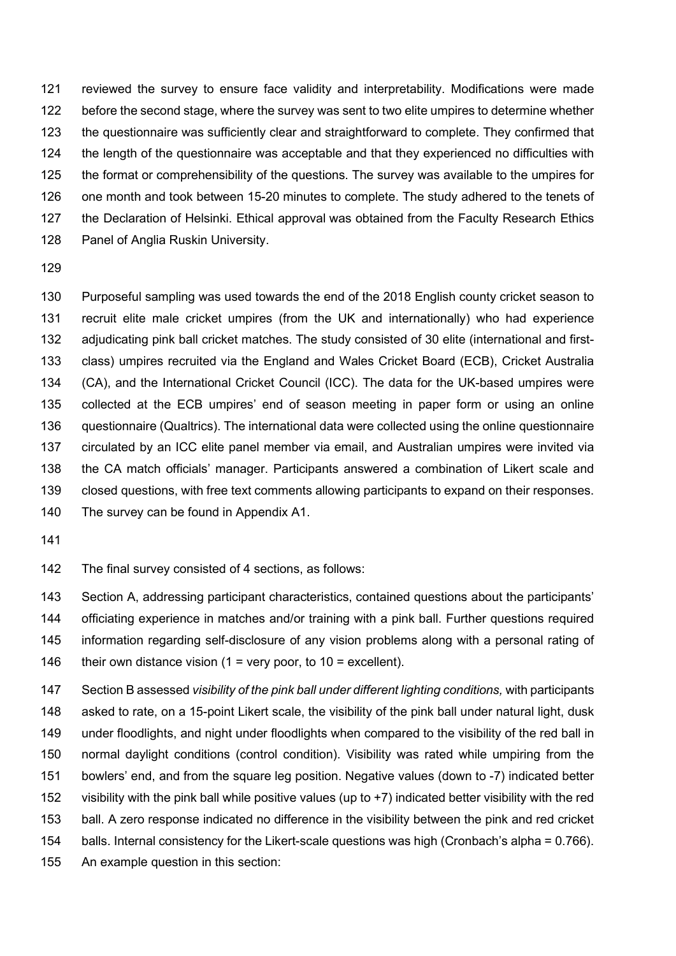reviewed the survey to ensure face validity and interpretability. Modifications were made before the second stage, where the survey was sent to two elite umpires to determine whether the questionnaire was sufficiently clear and straightforward to complete. They confirmed that the length of the questionnaire was acceptable and that they experienced no difficulties with the format or comprehensibility of the questions. The survey was available to the umpires for one month and took between 15-20 minutes to complete. The study adhered to the tenets of 127 the Declaration of Helsinki. Ethical approval was obtained from the Faculty Research Ethics Panel of Anglia Ruskin University.

 Purposeful sampling was used towards the end of the 2018 English county cricket season to recruit elite male cricket umpires (from the UK and internationally) who had experience adjudicating pink ball cricket matches. The study consisted of 30 elite (international and first- class) umpires recruited via the England and Wales Cricket Board (ECB), Cricket Australia (CA), and the International Cricket Council (ICC). The data for the UK-based umpires were collected at the ECB umpires' end of season meeting in paper form or using an online questionnaire (Qualtrics). The international data were collected using the online questionnaire circulated by an ICC elite panel member via email, and Australian umpires were invited via the CA match officials' manager. Participants answered a combination of Likert scale and closed questions, with free text comments allowing participants to expand on their responses.

- The survey can be found in Appendix A1.
- 

The final survey consisted of 4 sections, as follows:

 Section A, addressing participant characteristics, contained questions about the participants' officiating experience in matches and/or training with a pink ball. Further questions required information regarding self-disclosure of any vision problems along with a personal rating of 146 their own distance vision (1 = very poor, to 10 = excellent).

 Section B assessed *visibility of the pink ball under different lighting conditions,* with participants asked to rate, on a 15-point Likert scale, the visibility of the pink ball under natural light, dusk under floodlights, and night under floodlights when compared to the visibility of the red ball in normal daylight conditions (control condition). Visibility was rated while umpiring from the bowlers' end, and from the square leg position. Negative values (down to -7) indicated better visibility with the pink ball while positive values (up to +7) indicated better visibility with the red ball. A zero response indicated no difference in the visibility between the pink and red cricket balls. Internal consistency for the Likert-scale questions was high (Cronbach's alpha = 0.766). An example question in this section: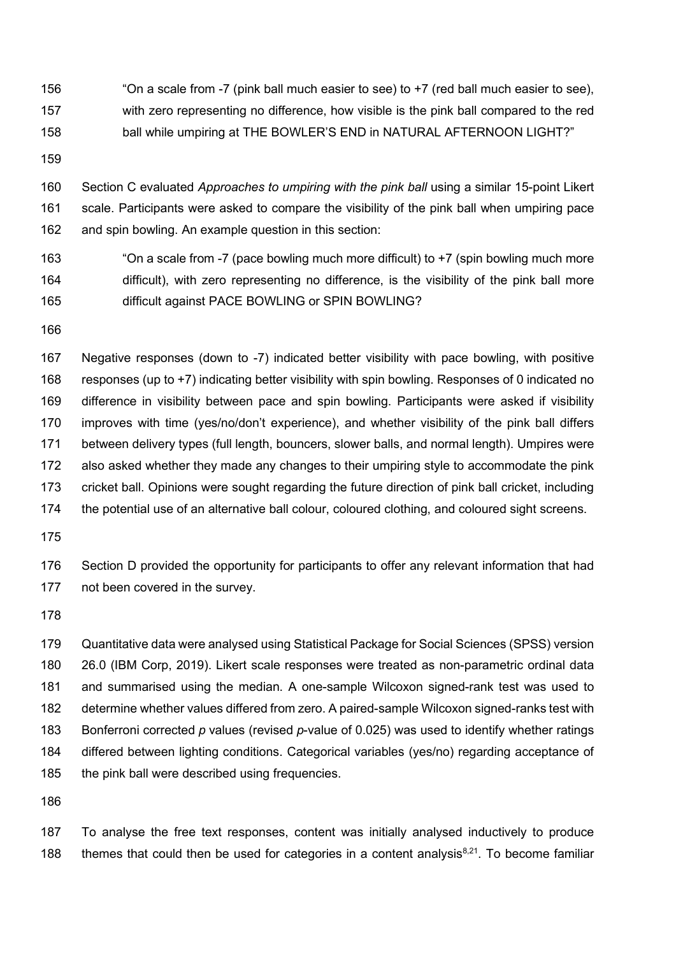"On a scale from -7 (pink ball much easier to see) to +7 (red ball much easier to see), with zero representing no difference, how visible is the pink ball compared to the red ball while umpiring at THE BOWLER'S END in NATURAL AFTERNOON LIGHT?"

 Section C evaluated *Approaches to umpiring with the pink ball* using a similar 15-point Likert scale. Participants were asked to compare the visibility of the pink ball when umpiring pace and spin bowling. An example question in this section:

 "On a scale from -7 (pace bowling much more difficult) to +7 (spin bowling much more difficult), with zero representing no difference, is the visibility of the pink ball more difficult against PACE BOWLING or SPIN BOWLING?

 Negative responses (down to -7) indicated better visibility with pace bowling, with positive responses (up to +7) indicating better visibility with spin bowling. Responses of 0 indicated no difference in visibility between pace and spin bowling. Participants were asked if visibility improves with time (yes/no/don't experience), and whether visibility of the pink ball differs between delivery types (full length, bouncers, slower balls, and normal length). Umpires were also asked whether they made any changes to their umpiring style to accommodate the pink cricket ball. Opinions were sought regarding the future direction of pink ball cricket, including the potential use of an alternative ball colour, coloured clothing, and coloured sight screens.

 Section D provided the opportunity for participants to offer any relevant information that had not been covered in the survey.

 Quantitative data were analysed using Statistical Package for Social Sciences (SPSS) version 26.0 (IBM Corp, 2019). Likert scale responses were treated as non-parametric ordinal data and summarised using the median. A one-sample Wilcoxon signed-rank test was used to determine whether values differed from zero. A paired-sample Wilcoxon signed-ranks test with Bonferroni corrected *p* values (revised *p*-value of 0.025) was used to identify whether ratings differed between lighting conditions. Categorical variables (yes/no) regarding acceptance of 185 the pink ball were described using frequencies.

 To analyse the free text responses, content was initially analysed inductively to produce 188 themes that could then be used for categories in a content analysis $8,21$ . To become familiar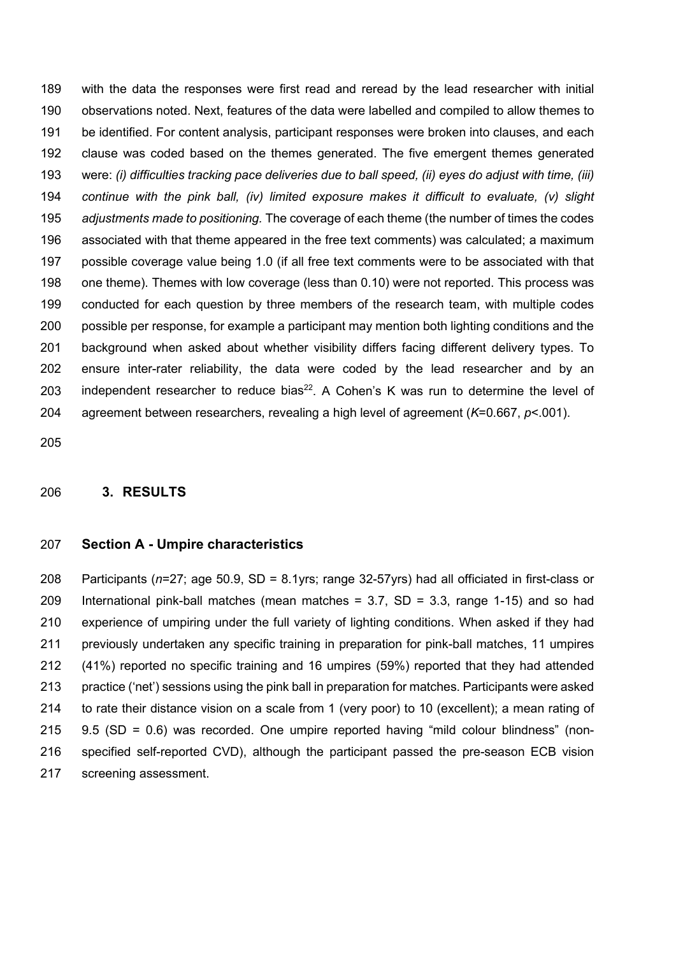with the data the responses were first read and reread by the lead researcher with initial observations noted. Next, features of the data were labelled and compiled to allow themes to be identified. For content analysis, participant responses were broken into clauses, and each clause was coded based on the themes generated. The five emergent themes generated were: *(i) difficulties tracking pace deliveries due to ball speed, (ii) eyes do adjust with time, (iii) continue with the pink ball, (iv) limited exposure makes it difficult to evaluate, (v) slight adjustments made to positioning.* The coverage of each theme (the number of times the codes associated with that theme appeared in the free text comments) was calculated; a maximum possible coverage value being 1.0 (if all free text comments were to be associated with that one theme). Themes with low coverage (less than 0.10) were not reported. This process was conducted for each question by three members of the research team, with multiple codes possible per response, for example a participant may mention both lighting conditions and the background when asked about whether visibility differs facing different delivery types. To ensure inter-rater reliability, the data were coded by the lead researcher and by an 203 independent researcher to reduce bias<sup>22</sup>. A Cohen's K was run to determine the level of agreement between researchers, revealing a high level of agreement (*K*=0.667, *p*<.001).

#### **3. RESULTS**

#### **Section A - Umpire characteristics**

 Participants (*n*=27; age 50.9, SD = 8.1yrs; range 32-57yrs) had all officiated in first-class or International pink-ball matches (mean matches = 3.7, SD = 3.3, range 1-15) and so had experience of umpiring under the full variety of lighting conditions. When asked if they had previously undertaken any specific training in preparation for pink-ball matches, 11 umpires (41%) reported no specific training and 16 umpires (59%) reported that they had attended practice ('net') sessions using the pink ball in preparation for matches. Participants were asked to rate their distance vision on a scale from 1 (very poor) to 10 (excellent); a mean rating of 9.5 (SD = 0.6) was recorded. One umpire reported having "mild colour blindness" (non- specified self-reported CVD), although the participant passed the pre-season ECB vision screening assessment.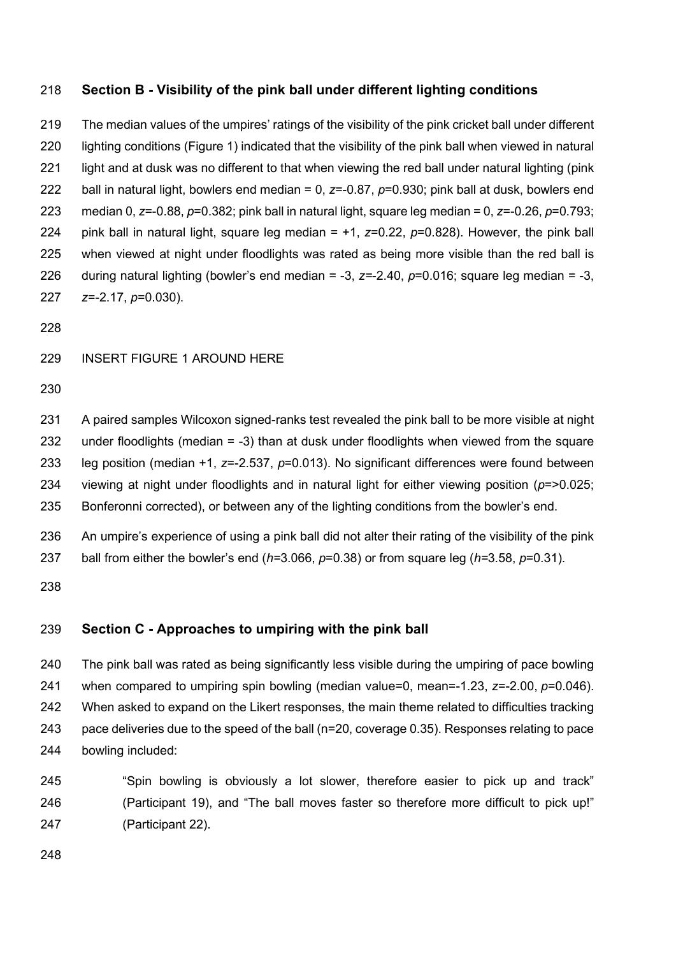## **Section B - Visibility of the pink ball under different lighting conditions**

 The median values of the umpires' ratings of the visibility of the pink cricket ball under different lighting conditions (Figure 1) indicated that the visibility of the pink ball when viewed in natural light and at dusk was no different to that when viewing the red ball under natural lighting (pink ball in natural light, bowlers end median = 0, *z*=-0.87, *p*=0.930; pink ball at dusk, bowlers end median 0, *z*=-0.88, *p*=0.382; pink ball in natural light, square leg median = 0, *z*=-0.26, *p*=0.793; pink ball in natural light, square leg median = +1, *z*=0.22, *p*=0.828). However, the pink ball when viewed at night under floodlights was rated as being more visible than the red ball is during natural lighting (bowler's end median = -3, *z=*-2.40, *p*=0.016; square leg median = -3, *z*=-2.17, *p*=0.030).

#### INSERT FIGURE 1 AROUND HERE

 A paired samples Wilcoxon signed-ranks test revealed the pink ball to be more visible at night under floodlights (median = -3) than at dusk under floodlights when viewed from the square leg position (median +1, *z*=-2.537, *p*=0.013). No significant differences were found between viewing at night under floodlights and in natural light for either viewing position (*p*=>0.025; Bonferonni corrected), or between any of the lighting conditions from the bowler's end.

 An umpire's experience of using a pink ball did not alter their rating of the visibility of the pink ball from either the bowler's end (*h=*3.066, *p*=0.38) or from square leg (*h=*3.58, *p*=0.31).

## **Section C - Approaches to umpiring with the pink ball**

 The pink ball was rated as being significantly less visible during the umpiring of pace bowling when compared to umpiring spin bowling (median value=0, mean=-1.23, *z*=-2.00, *p*=0.046). 242 When asked to expand on the Likert responses, the main theme related to difficulties tracking pace deliveries due to the speed of the ball (n=20, coverage 0.35). Responses relating to pace bowling included:

 "Spin bowling is obviously a lot slower, therefore easier to pick up and track" (Participant 19), and "The ball moves faster so therefore more difficult to pick up!" (Participant 22).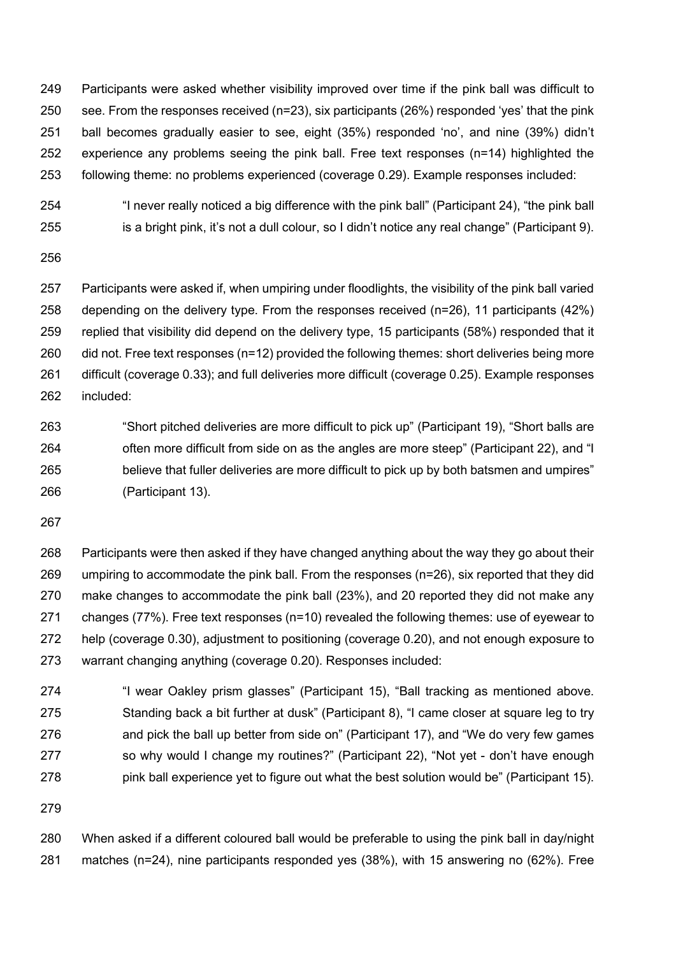Participants were asked whether visibility improved over time if the pink ball was difficult to see. From the responses received (n=23), six participants (26%) responded 'yes' that the pink ball becomes gradually easier to see, eight (35%) responded 'no', and nine (39%) didn't experience any problems seeing the pink ball. Free text responses (n=14) highlighted the following theme: no problems experienced (coverage 0.29). Example responses included:

 "I never really noticed a big difference with the pink ball" (Participant 24), "the pink ball is a bright pink, it's not a dull colour, so I didn't notice any real change" (Participant 9).

 Participants were asked if, when umpiring under floodlights, the visibility of the pink ball varied depending on the delivery type. From the responses received (n=26), 11 participants (42%) replied that visibility did depend on the delivery type, 15 participants (58%) responded that it 260 did not. Free text responses (n=12) provided the following themes: short deliveries being more difficult (coverage 0.33); and full deliveries more difficult (coverage 0.25). Example responses included:

 "Short pitched deliveries are more difficult to pick up" (Participant 19), "Short balls are often more difficult from side on as the angles are more steep" (Participant 22), and "I believe that fuller deliveries are more difficult to pick up by both batsmen and umpires" (Participant 13).

 Participants were then asked if they have changed anything about the way they go about their umpiring to accommodate the pink ball. From the responses (n=26), six reported that they did make changes to accommodate the pink ball (23%), and 20 reported they did not make any changes (77%). Free text responses (n=10) revealed the following themes: use of eyewear to help (coverage 0.30), adjustment to positioning (coverage 0.20), and not enough exposure to warrant changing anything (coverage 0.20). Responses included:

 "I wear Oakley prism glasses" (Participant 15), "Ball tracking as mentioned above. Standing back a bit further at dusk" (Participant 8), "I came closer at square leg to try and pick the ball up better from side on" (Participant 17), and "We do very few games 277 so why would I change my routines?" (Participant 22), "Not yet - don't have enough pink ball experience yet to figure out what the best solution would be" (Participant 15).

 When asked if a different coloured ball would be preferable to using the pink ball in day/night matches (n=24), nine participants responded yes (38%), with 15 answering no (62%). Free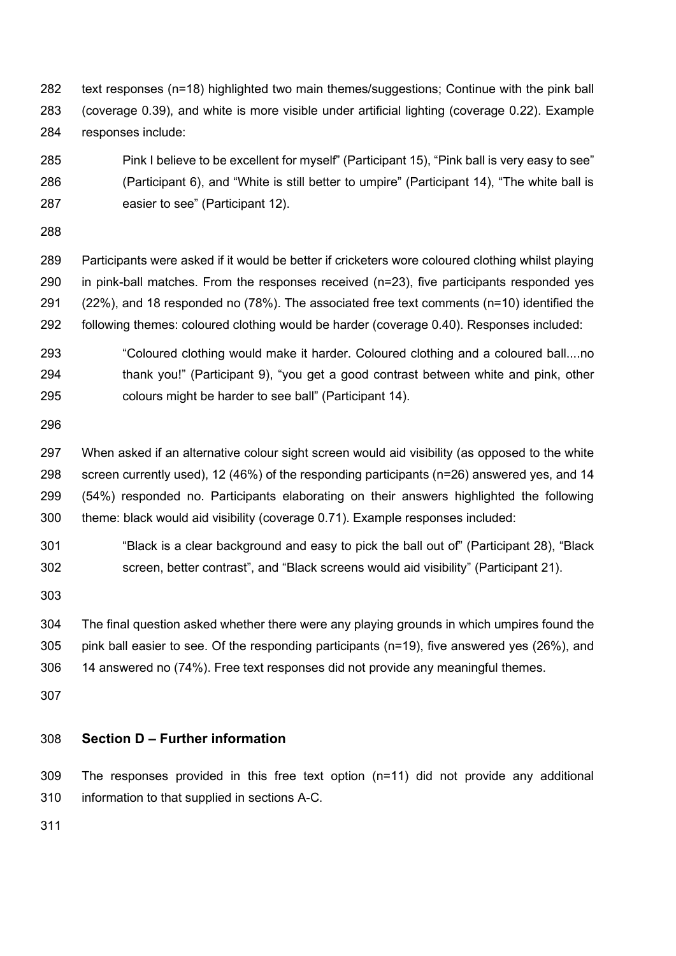text responses (n=18) highlighted two main themes/suggestions; Continue with the pink ball (coverage 0.39), and white is more visible under artificial lighting (coverage 0.22). Example responses include:

 Pink I believe to be excellent for myself" (Participant 15), "Pink ball is very easy to see" (Participant 6), and "White is still better to umpire" (Participant 14), "The white ball is easier to see" (Participant 12).

 Participants were asked if it would be better if cricketers wore coloured clothing whilst playing in pink-ball matches. From the responses received (n=23), five participants responded yes (22%), and 18 responded no (78%). The associated free text comments (n=10) identified the following themes: coloured clothing would be harder (coverage 0.40). Responses included:

 "Coloured clothing would make it harder. Coloured clothing and a coloured ball....no thank you!" (Participant 9), "you get a good contrast between white and pink, other colours might be harder to see ball" (Participant 14).

 When asked if an alternative colour sight screen would aid visibility (as opposed to the white screen currently used), 12 (46%) of the responding participants (n=26) answered yes, and 14 (54%) responded no. Participants elaborating on their answers highlighted the following theme: black would aid visibility (coverage 0.71). Example responses included:

 "Black is a clear background and easy to pick the ball out of" (Participant 28), "Black screen, better contrast", and "Black screens would aid visibility" (Participant 21).

 The final question asked whether there were any playing grounds in which umpires found the pink ball easier to see. Of the responding participants (n=19), five answered yes (26%), and 14 answered no (74%). Free text responses did not provide any meaningful themes.

## **Section D – Further information**

 The responses provided in this free text option (n=11) did not provide any additional information to that supplied in sections A-C.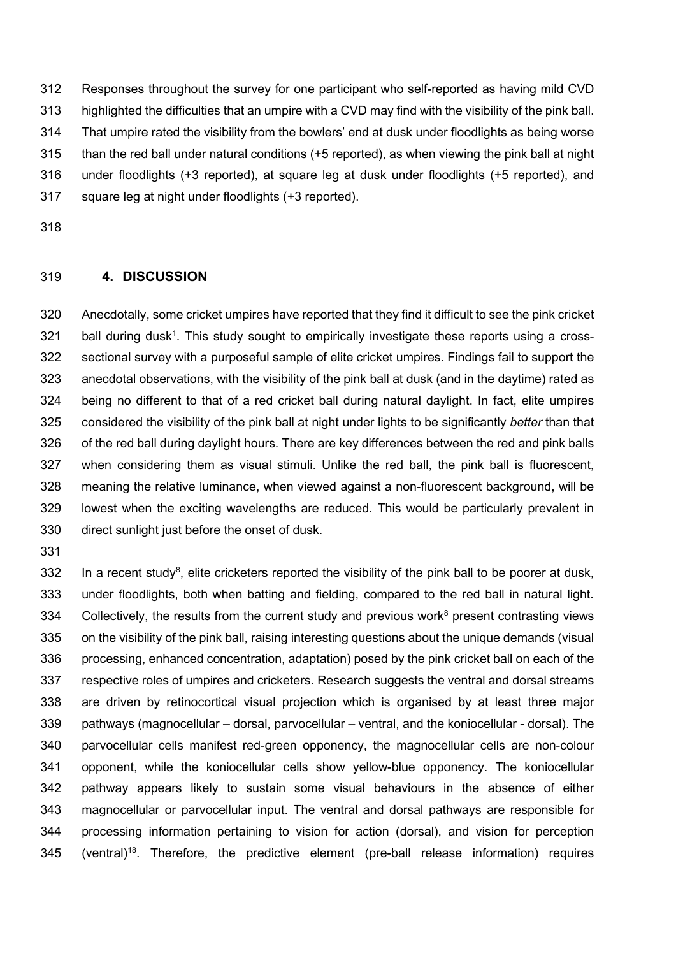Responses throughout the survey for one participant who self-reported as having mild CVD highlighted the difficulties that an umpire with a CVD may find with the visibility of the pink ball. That umpire rated the visibility from the bowlers' end at dusk under floodlights as being worse than the red ball under natural conditions (+5 reported), as when viewing the pink ball at night under floodlights (+3 reported), at square leg at dusk under floodlights (+5 reported), and square leg at night under floodlights (+3 reported).

#### **4. DISCUSSION**

 Anecdotally, some cricket umpires have reported that they find it difficult to see the pink cricket ball during dusk<sup>1</sup>. This study sought to empirically investigate these reports using a cross- sectional survey with a purposeful sample of elite cricket umpires. Findings fail to support the anecdotal observations, with the visibility of the pink ball at dusk (and in the daytime) rated as being no different to that of a red cricket ball during natural daylight. In fact, elite umpires considered the visibility of the pink ball at night under lights to be significantly *better* than that of the red ball during daylight hours. There are key differences between the red and pink balls when considering them as visual stimuli. Unlike the red ball, the pink ball is fluorescent, meaning the relative luminance, when viewed against a non-fluorescent background, will be lowest when the exciting wavelengths are reduced. This would be particularly prevalent in direct sunlight just before the onset of dusk.

 In a recent study<sup>8</sup>, elite cricketers reported the visibility of the pink ball to be poorer at dusk, under floodlights, both when batting and fielding, compared to the red ball in natural light. 334 Collectively, the results from the current study and previous work present contrasting views on the visibility of the pink ball, raising interesting questions about the unique demands (visual processing, enhanced concentration, adaptation) posed by the pink cricket ball on each of the respective roles of umpires and cricketers. Research suggests the ventral and dorsal streams are driven by retinocortical visual projection which is organised by at least three major pathways (magnocellular – dorsal, parvocellular – ventral, and the koniocellular - dorsal). The parvocellular cells manifest red-green opponency, the magnocellular cells are non-colour opponent, while the koniocellular cells show yellow-blue opponency. The koniocellular pathway appears likely to sustain some visual behaviours in the absence of either magnocellular or parvocellular input. The ventral and dorsal pathways are responsible for processing information pertaining to vision for action (dorsal), and vision for perception 345 (ventral)<sup>18</sup>. Therefore, the predictive element (pre-ball release information) requires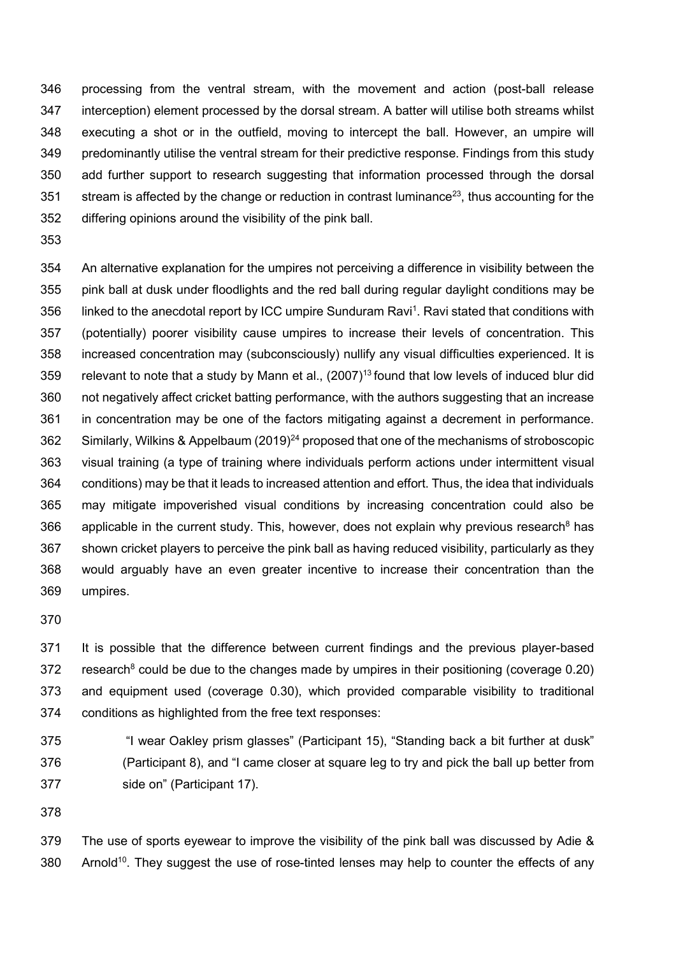processing from the ventral stream, with the movement and action (post-ball release interception) element processed by the dorsal stream. A batter will utilise both streams whilst executing a shot or in the outfield, moving to intercept the ball. However, an umpire will predominantly utilise the ventral stream for their predictive response. Findings from this study add further support to research suggesting that information processed through the dorsal stream is affected by the change or reduction in contrast luminance<sup>23</sup>, thus accounting for the differing opinions around the visibility of the pink ball.

 An alternative explanation for the umpires not perceiving a difference in visibility between the pink ball at dusk under floodlights and the red ball during regular daylight conditions may be 356 linked to the anecdotal report by ICC umpire Sunduram Ravi<sup>1</sup>. Ravi stated that conditions with (potentially) poorer visibility cause umpires to increase their levels of concentration. This increased concentration may (subconsciously) nullify any visual difficulties experienced. It is 359 relevant to note that a study by Mann et al.,  $(2007)^{13}$  found that low levels of induced blur did not negatively affect cricket batting performance, with the authors suggesting that an increase in concentration may be one of the factors mitigating against a decrement in performance. 362 Similarly, Wilkins & Appelbaum (2019)<sup>24</sup> proposed that one of the mechanisms of stroboscopic visual training (a type of training where individuals perform actions under intermittent visual conditions) may be that it leads to increased attention and effort. Thus, the idea that individuals may mitigate impoverished visual conditions by increasing concentration could also be 366 applicable in the current study. This, however, does not explain why previous research<sup>8</sup> has shown cricket players to perceive the pink ball as having reduced visibility, particularly as they would arguably have an even greater incentive to increase their concentration than the umpires.

 It is possible that the difference between current findings and the previous player-based 372 research<sup>8</sup> could be due to the changes made by umpires in their positioning (coverage 0.20) and equipment used (coverage 0.30), which provided comparable visibility to traditional conditions as highlighted from the free text responses:

 "I wear Oakley prism glasses" (Participant 15), "Standing back a bit further at dusk" (Participant 8), and "I came closer at square leg to try and pick the ball up better from side on" (Participant 17).

 The use of sports eyewear to improve the visibility of the pink ball was discussed by Adie & 380 Arnold<sup>10</sup>. They suggest the use of rose-tinted lenses may help to counter the effects of any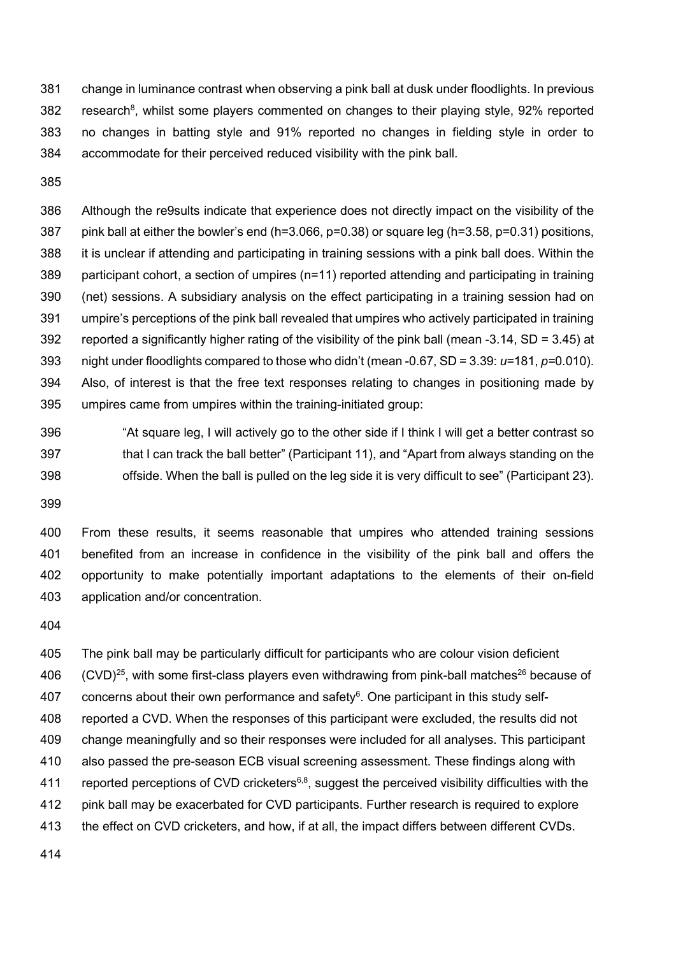change in luminance contrast when observing a pink ball at dusk under floodlights. In previous 382 research<sup>8</sup>, whilst some players commented on changes to their playing style, 92% reported no changes in batting style and 91% reported no changes in fielding style in order to accommodate for their perceived reduced visibility with the pink ball.

 Although the re9sults indicate that experience does not directly impact on the visibility of the 387 pink ball at either the bowler's end  $(h=3.066, p=0.38)$  or square leg  $(h=3.58, p=0.31)$  positions, it is unclear if attending and participating in training sessions with a pink ball does. Within the participant cohort, a section of umpires (n=11) reported attending and participating in training (net) sessions. A subsidiary analysis on the effect participating in a training session had on umpire's perceptions of the pink ball revealed that umpires who actively participated in training reported a significantly higher rating of the visibility of the pink ball (mean -3.14, SD = 3.45) at night under floodlights compared to those who didn't (mean -0.67, SD = 3.39: *u=*181, *p=*0.010). Also, of interest is that the free text responses relating to changes in positioning made by umpires came from umpires within the training-initiated group:

 "At square leg, I will actively go to the other side if I think I will get a better contrast so that I can track the ball better" (Participant 11), and "Apart from always standing on the offside. When the ball is pulled on the leg side it is very difficult to see" (Participant 23).

 From these results, it seems reasonable that umpires who attended training sessions benefited from an increase in confidence in the visibility of the pink ball and offers the opportunity to make potentially important adaptations to the elements of their on-field application and/or concentration.

 The pink ball may be particularly difficult for participants who are colour vision deficient  $(CVD)^{25}$ , with some first-class players even withdrawing from pink-ball matches<sup>26</sup> because of 407 concerns about their own performance and safety. One participant in this study self- reported a CVD. When the responses of this participant were excluded, the results did not change meaningfully and so their responses were included for all analyses. This participant also passed the pre-season ECB visual screening assessment. These findings along with 411 reported perceptions of CVD cricketers<sup>6,8</sup>, suggest the perceived visibility difficulties with the pink ball may be exacerbated for CVD participants. Further research is required to explore the effect on CVD cricketers, and how, if at all, the impact differs between different CVDs.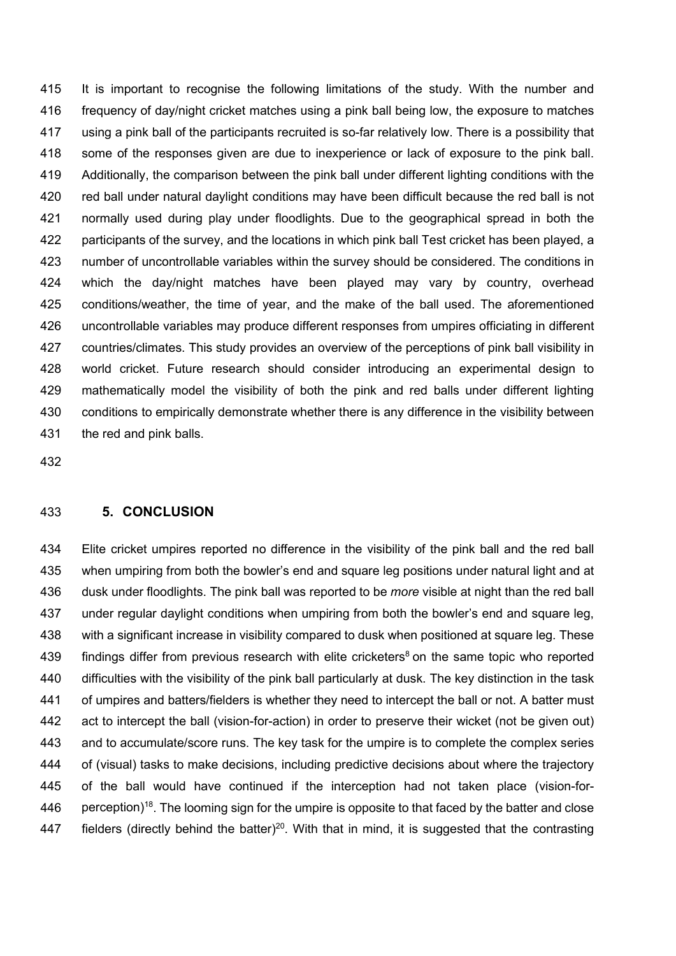It is important to recognise the following limitations of the study. With the number and frequency of day/night cricket matches using a pink ball being low, the exposure to matches using a pink ball of the participants recruited is so-far relatively low. There is a possibility that some of the responses given are due to inexperience or lack of exposure to the pink ball. Additionally, the comparison between the pink ball under different lighting conditions with the red ball under natural daylight conditions may have been difficult because the red ball is not normally used during play under floodlights. Due to the geographical spread in both the participants of the survey, and the locations in which pink ball Test cricket has been played, a number of uncontrollable variables within the survey should be considered. The conditions in which the day/night matches have been played may vary by country, overhead conditions/weather, the time of year, and the make of the ball used. The aforementioned uncontrollable variables may produce different responses from umpires officiating in different countries/climates. This study provides an overview of the perceptions of pink ball visibility in world cricket. Future research should consider introducing an experimental design to mathematically model the visibility of both the pink and red balls under different lighting conditions to empirically demonstrate whether there is any difference in the visibility between the red and pink balls.

#### **5. CONCLUSION**

 Elite cricket umpires reported no difference in the visibility of the pink ball and the red ball when umpiring from both the bowler's end and square leg positions under natural light and at dusk under floodlights. The pink ball was reported to be *more* visible at night than the red ball under regular daylight conditions when umpiring from both the bowler's end and square leg, with a significant increase in visibility compared to dusk when positioned at square leg. These 439 findings differ from previous research with elite cricketers<sup>8</sup> on the same topic who reported difficulties with the visibility of the pink ball particularly at dusk. The key distinction in the task of umpires and batters/fielders is whether they need to intercept the ball or not. A batter must act to intercept the ball (vision-for-action) in order to preserve their wicket (not be given out) and to accumulate/score runs. The key task for the umpire is to complete the complex series of (visual) tasks to make decisions, including predictive decisions about where the trajectory of the ball would have continued if the interception had not taken place (vision-for-446 perception)<sup>18</sup>. The looming sign for the umpire is opposite to that faced by the batter and close 447 bielders (directly behind the batter)<sup>20</sup>. With that in mind, it is suggested that the contrasting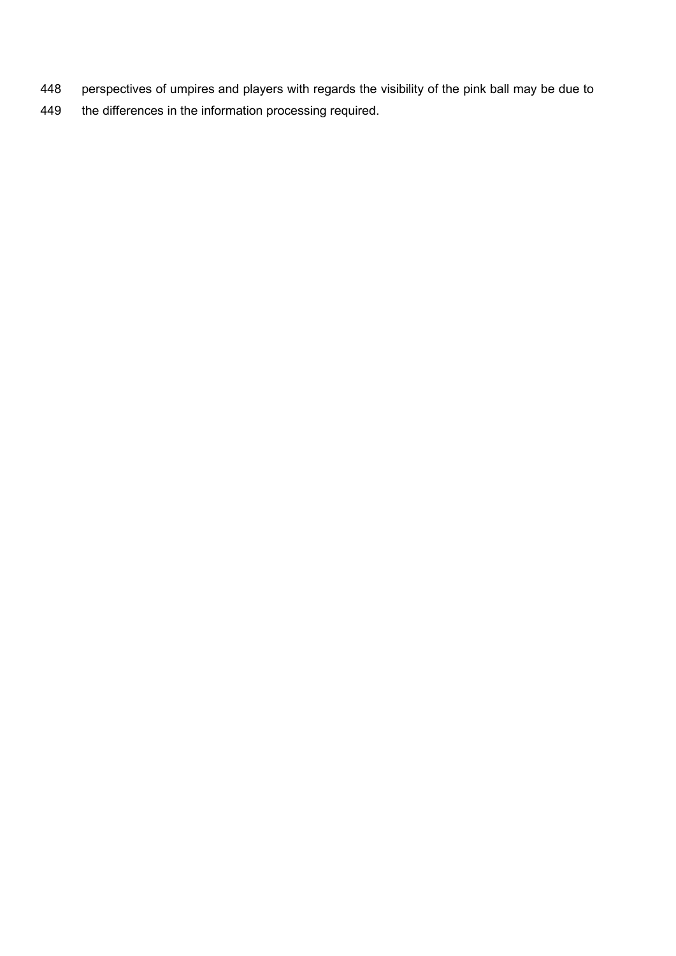- 448 perspectives of umpires and players with regards the visibility of the pink ball may be due to
- 449 the differences in the information processing required.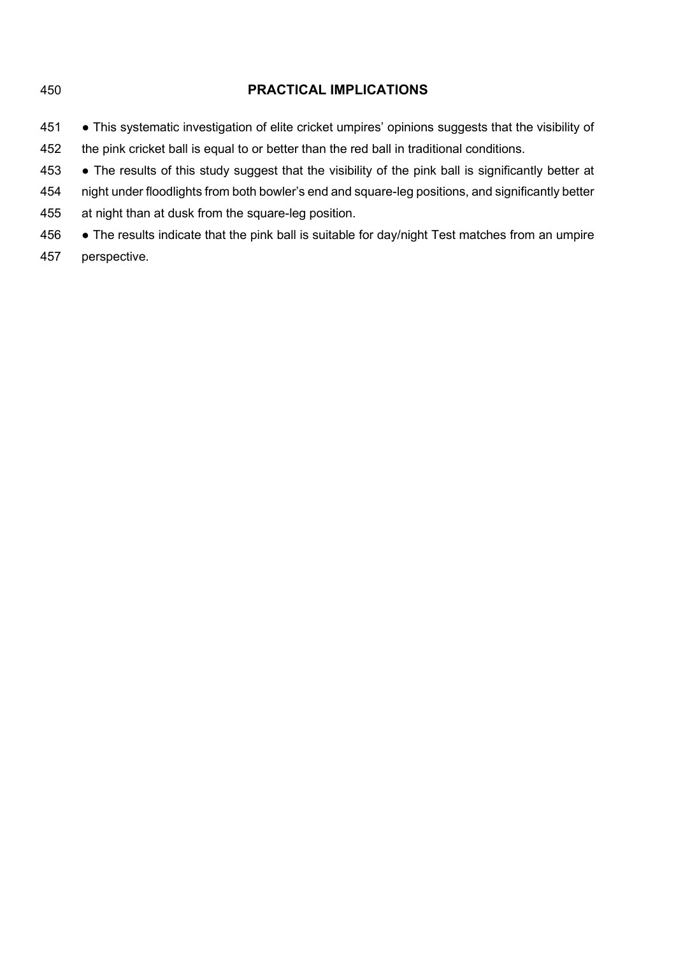# **PRACTICAL IMPLICATIONS** 451 • This systematic investigation of elite cricket umpires' opinions suggests that the visibility of the pink cricket ball is equal to or better than the red ball in traditional conditions. ● The results of this study suggest that the visibility of the pink ball is significantly better at night under floodlights from both bowler's end and square-leg positions, and significantly better at night than at dusk from the square-leg position.

- 456 The results indicate that the pink ball is suitable for day/night Test matches from an umpire
- perspective.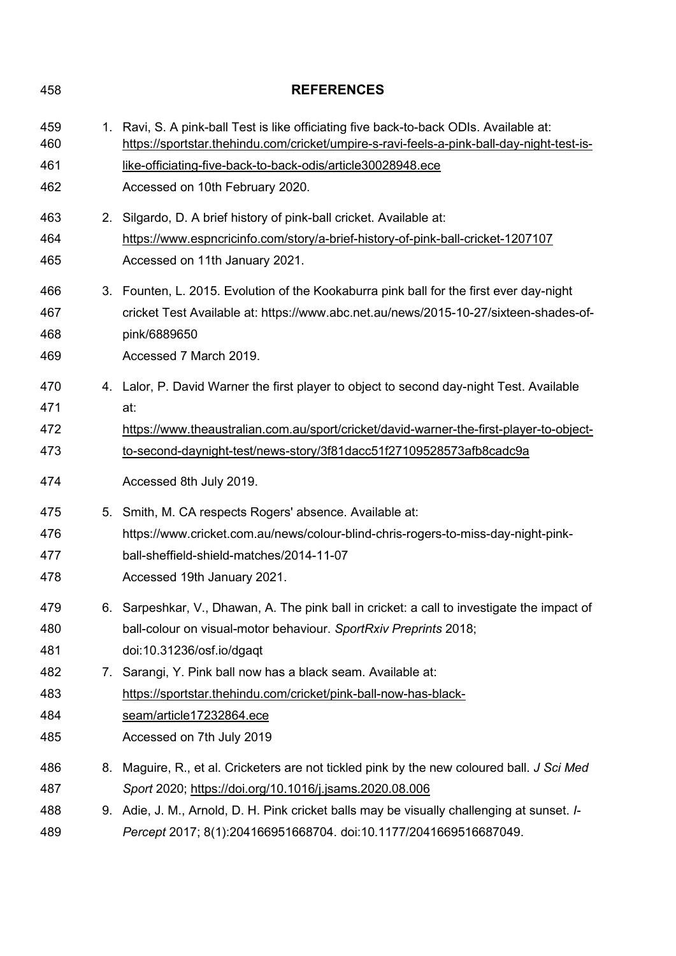| 458        | <b>REFERENCES</b>                                                                                                                                                                   |  |  |
|------------|-------------------------------------------------------------------------------------------------------------------------------------------------------------------------------------|--|--|
| 459<br>460 | 1. Ravi, S. A pink-ball Test is like officiating five back-to-back ODIs. Available at:<br>https://sportstar.thehindu.com/cricket/umpire-s-ravi-feels-a-pink-ball-day-night-test-is- |  |  |
| 461        | like-officiating-five-back-to-back-odis/article30028948.ece                                                                                                                         |  |  |
| 462        | Accessed on 10th February 2020.                                                                                                                                                     |  |  |
| 463        | 2. Silgardo, D. A brief history of pink-ball cricket. Available at:                                                                                                                 |  |  |
| 464        | https://www.espncricinfo.com/story/a-brief-history-of-pink-ball-cricket-1207107                                                                                                     |  |  |
| 465        | Accessed on 11th January 2021.                                                                                                                                                      |  |  |
| 466        | 3. Founten, L. 2015. Evolution of the Kookaburra pink ball for the first ever day-night                                                                                             |  |  |
| 467        | cricket Test Available at: https://www.abc.net.au/news/2015-10-27/sixteen-shades-of-                                                                                                |  |  |
| 468        | pink/6889650                                                                                                                                                                        |  |  |
| 469        | Accessed 7 March 2019.                                                                                                                                                              |  |  |
| 470        | 4. Lalor, P. David Warner the first player to object to second day-night Test. Available                                                                                            |  |  |
| 471        | at:                                                                                                                                                                                 |  |  |
| 472        | https://www.theaustralian.com.au/sport/cricket/david-warner-the-first-player-to-object-                                                                                             |  |  |
| 473        | to-second-daynight-test/news-story/3f81dacc51f27109528573afb8cadc9a                                                                                                                 |  |  |
| 474        | Accessed 8th July 2019.                                                                                                                                                             |  |  |
| 475        | 5. Smith, M. CA respects Rogers' absence. Available at:                                                                                                                             |  |  |
| 476        | https://www.cricket.com.au/news/colour-blind-chris-rogers-to-miss-day-night-pink-                                                                                                   |  |  |
| 477        | ball-sheffield-shield-matches/2014-11-07                                                                                                                                            |  |  |
| 478        | Accessed 19th January 2021.                                                                                                                                                         |  |  |
| 479        | 6. Sarpeshkar, V., Dhawan, A. The pink ball in cricket: a call to investigate the impact of                                                                                         |  |  |
| 480        | ball-colour on visual-motor behaviour. SportRxiv Preprints 2018;                                                                                                                    |  |  |
| 481        | doi:10.31236/osf.io/dgagt                                                                                                                                                           |  |  |
| 482        | 7. Sarangi, Y. Pink ball now has a black seam. Available at:                                                                                                                        |  |  |
| 483        | https://sportstar.thehindu.com/cricket/pink-ball-now-has-black-                                                                                                                     |  |  |
| 484        | seam/article17232864.ece                                                                                                                                                            |  |  |
| 485        | Accessed on 7th July 2019                                                                                                                                                           |  |  |
| 486        | 8. Maguire, R., et al. Cricketers are not tickled pink by the new coloured ball. J Sci Med                                                                                          |  |  |
| 487        | Sport 2020; https://doi.org/10.1016/j.jsams.2020.08.006                                                                                                                             |  |  |
| 488        | 9. Adie, J. M., Arnold, D. H. Pink cricket balls may be visually challenging at sunset. I-                                                                                          |  |  |
| 489        | Percept 2017; 8(1):204166951668704. doi:10.1177/2041669516687049.                                                                                                                   |  |  |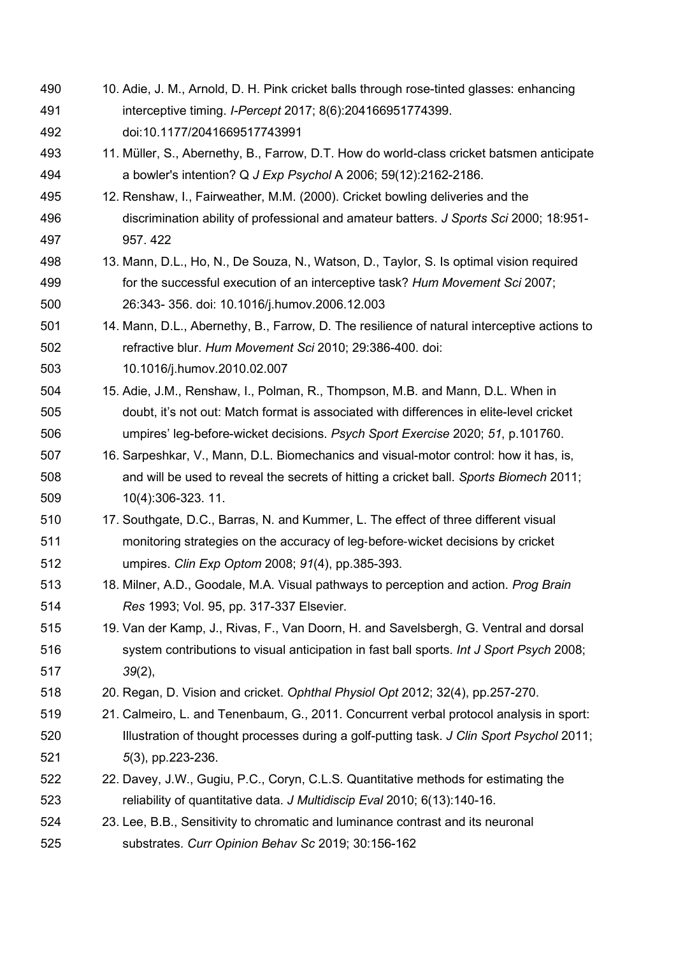- 10. Adie, J. M., Arnold, D. H. Pink cricket balls through rose-tinted glasses: enhancing interceptive timing. *I-Percept* 2017; 8(6):204166951774399. doi:10.1177/2041669517743991
- 11. Müller, S., Abernethy, B., Farrow, D.T. How do world-class cricket batsmen anticipate a bowler's intention? Q *J Exp Psychol* A 2006; 59(12):2162-2186.
- 12. Renshaw, I., Fairweather, M.M. (2000). Cricket bowling deliveries and the discrimination ability of professional and amateur batters. *J Sports Sci* 2000; 18:951- 957. 422
- 13. Mann, D.L., Ho, N., De Souza, N., Watson, D., Taylor, S. Is optimal vision required for the successful execution of an interceptive task? *Hum Movement Sci* 2007; 26:343- 356. doi: 10.1016/j.humov.2006.12.003
- 14. Mann, D.L., Abernethy, B., Farrow, D. The resilience of natural interceptive actions to refractive blur. *Hum Movement Sci* 2010; 29:386-400. doi:
- 10.1016/j.humov.2010.02.007
- 15. Adie, J.M., Renshaw, I., Polman, R., Thompson, M.B. and Mann, D.L. When in doubt, it's not out: Match format is associated with differences in elite-level cricket umpires' leg-before-wicket decisions. *Psych Sport Exercise* 2020; *51*, p.101760.
- 16. Sarpeshkar, V., Mann, D.L. Biomechanics and visual-motor control: how it has, is, and will be used to reveal the secrets of hitting a cricket ball. *Sports Biomech* 2011; 10(4):306-323. 11.
- 17. Southgate, D.C., Barras, N. and Kummer, L. The effect of three different visual monitoring strategies on the accuracy of leg‐before‐wicket decisions by cricket umpires. *Clin Exp Optom* 2008; *91*(4), pp.385-393.
- 18. Milner, A.D., Goodale, M.A. Visual pathways to perception and action. *Prog Brain Res* 1993; Vol. 95, pp. 317-337 Elsevier.
- 19. Van der Kamp, J., Rivas, F., Van Doorn, H. and Savelsbergh, G. Ventral and dorsal system contributions to visual anticipation in fast ball sports. *Int J Sport Psych* 2008; *39*(2),
- 20. Regan, D. Vision and cricket. *Ophthal Physiol Opt* 2012; 32(4), pp.257-270.
- 21. Calmeiro, L. and Tenenbaum, G., 2011. Concurrent verbal protocol analysis in sport: Illustration of thought processes during a golf-putting task. *J Clin Sport Psychol* 2011; *5*(3), pp.223-236.
- 22. Davey, J.W., Gugiu, P.C., Coryn, C.L.S. Quantitative methods for estimating the reliability of quantitative data. *J Multidiscip Eval* 2010; 6(13):140-16.
- 23. Lee, B.B., Sensitivity to chromatic and luminance contrast and its neuronal substrates. *Curr Opinion Behav Sc* 2019; 30:156-162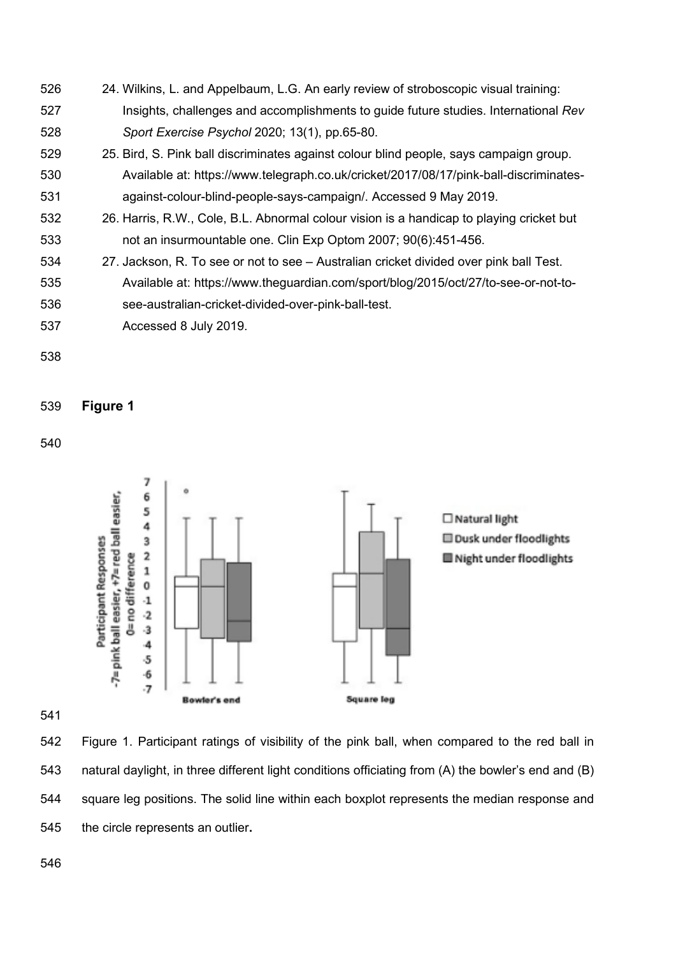- 24. Wilkins, L. and Appelbaum, L.G. An early review of stroboscopic visual training: Insights, challenges and accomplishments to guide future studies. International *Rev Sport Exercise Psychol* 2020; 13(1), pp.65-80.
- 25. Bird, S. Pink ball discriminates against colour blind people, says campaign group. Available at: https://www.telegraph.co.uk/cricket/2017/08/17/pink-ball-discriminates-against-colour-blind-people-says-campaign/. Accessed 9 May 2019.
- 26. Harris, R.W., Cole, B.L. Abnormal colour vision is a handicap to playing cricket but not an insurmountable one. Clin Exp Optom 2007; 90(6):451-456.
- 27. Jackson, R. To see or not to see Australian cricket divided over pink ball Test.
- Available at: https://www.theguardian.com/sport/blog/2015/oct/27/to-see-or-not-to-see-australian-cricket-divided-over-pink-ball-test.
- Accessed 8 July 2019.
- 

# **Figure 1**



 Figure 1. Participant ratings of visibility of the pink ball, when compared to the red ball in natural daylight, in three different light conditions officiating from (A) the bowler's end and (B) square leg positions. The solid line within each boxplot represents the median response and the circle represents an outlier**.**